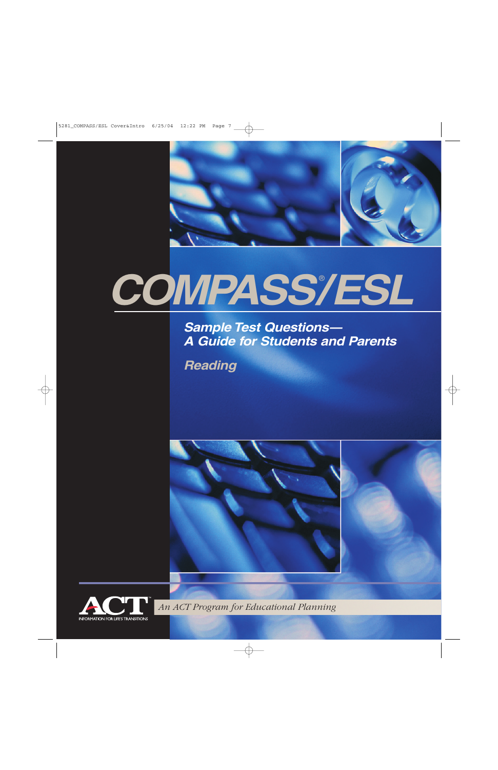

# *COMPASS/ESL* ®

*Sample Test Questions— A Guide for Students and Parents*

*Reading*





*An ACT Program for Educational Planning*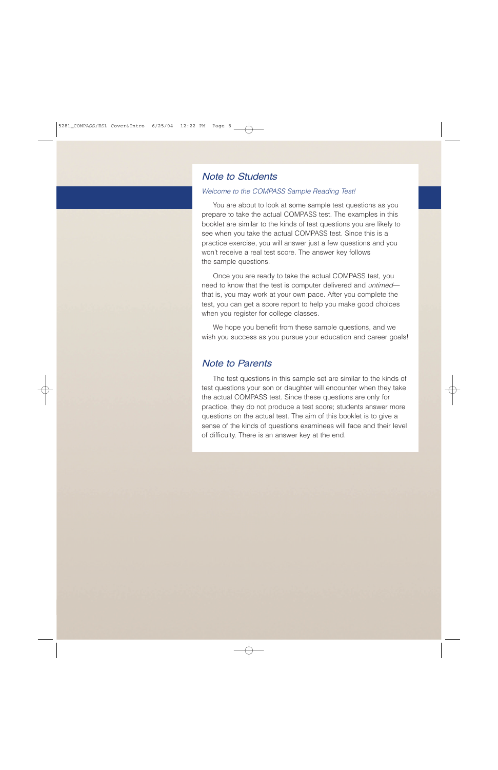## *Note to Students*

#### *Welcome to the COMPASS Sample Reading Test!*

You are about to look at some sample test questions as you prepare to take the actual COMPASS test. The examples in this booklet are similar to the kinds of test questions you are likely to see when you take the actual COMPASS test. Since this is a practice exercise, you will answer just a few questions and you won't receive a real test score. The answer key follows the sample questions.

Once you are ready to take the actual COMPASS test, you need to know that the test is computer delivered and *untimed* that is, you may work at your own pace. After you complete the test, you can get a score report to help you make good choices when you register for college classes.

We hope you benefit from these sample questions, and we wish you success as you pursue your education and career goals!

## *Note to Parents*

The test questions in this sample set are similar to the kinds of test questions your son or daughter will encounter when they take the actual COMPASS test. Since these questions are only for practice, they do not produce a test score; students answer more questions on the actual test. The aim of this booklet is to give a sense of the kinds of questions examinees will face and their level of difficulty. There is an answer key at the end.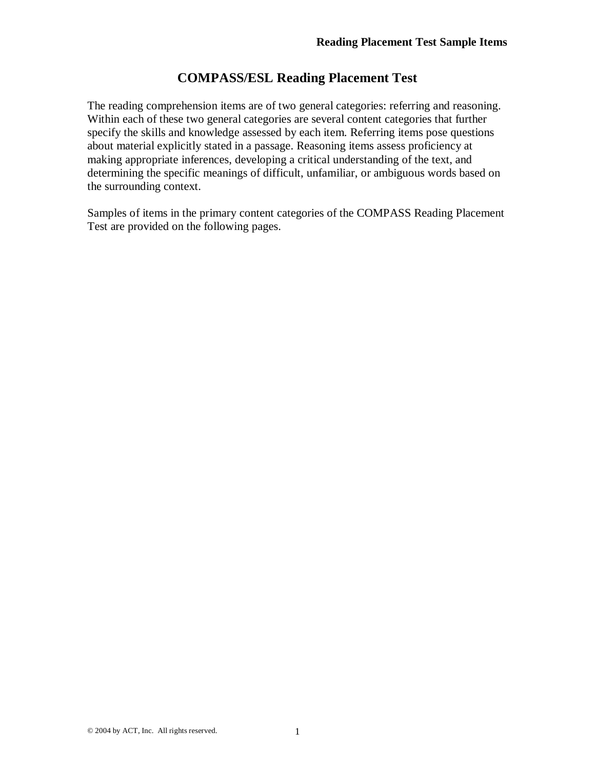## **COMPASS/ESL Reading Placement Test**

The reading comprehension items are of two general categories: referring and reasoning. Within each of these two general categories are several content categories that further specify the skills and knowledge assessed by each item. Referring items pose questions about material explicitly stated in a passage. Reasoning items assess proficiency at making appropriate inferences, developing a critical understanding of the text, and determining the specific meanings of difficult, unfamiliar, or ambiguous words based on the surrounding context.

Samples of items in the primary content categories of the COMPASS Reading Placement Test are provided on the following pages.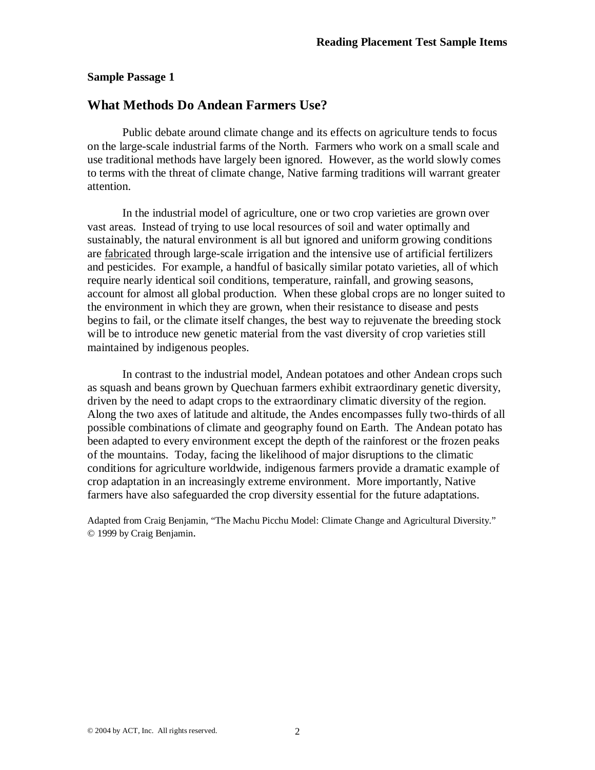#### **Sample Passage 1**

#### **What Methods Do Andean Farmers Use?**

Public debate around climate change and its effects on agriculture tends to focus on the large-scale industrial farms of the North. Farmers who work on a small scale and use traditional methods have largely been ignored. However, as the world slowly comes to terms with the threat of climate change, Native farming traditions will warrant greater attention.

In the industrial model of agriculture, one or two crop varieties are grown over vast areas. Instead of trying to use local resources of soil and water optimally and sustainably, the natural environment is all but ignored and uniform growing conditions are fabricated through large-scale irrigation and the intensive use of artificial fertilizers and pesticides. For example, a handful of basically similar potato varieties, all of which require nearly identical soil conditions, temperature, rainfall, and growing seasons, account for almost all global production. When these global crops are no longer suited to the environment in which they are grown, when their resistance to disease and pests begins to fail, or the climate itself changes, the best way to rejuvenate the breeding stock will be to introduce new genetic material from the vast diversity of crop varieties still maintained by indigenous peoples.

In contrast to the industrial model, Andean potatoes and other Andean crops such as squash and beans grown by Quechuan farmers exhibit extraordinary genetic diversity, driven by the need to adapt crops to the extraordinary climatic diversity of the region. Along the two axes of latitude and altitude, the Andes encompasses fully two-thirds of all possible combinations of climate and geography found on Earth. The Andean potato has been adapted to every environment except the depth of the rainforest or the frozen peaks of the mountains. Today, facing the likelihood of major disruptions to the climatic conditions for agriculture worldwide, indigenous farmers provide a dramatic example of crop adaptation in an increasingly extreme environment. More importantly, Native farmers have also safeguarded the crop diversity essential for the future adaptations.

Adapted from Craig Benjamin, "The Machu Picchu Model: Climate Change and Agricultural Diversity." © 1999 by Craig Benjamin.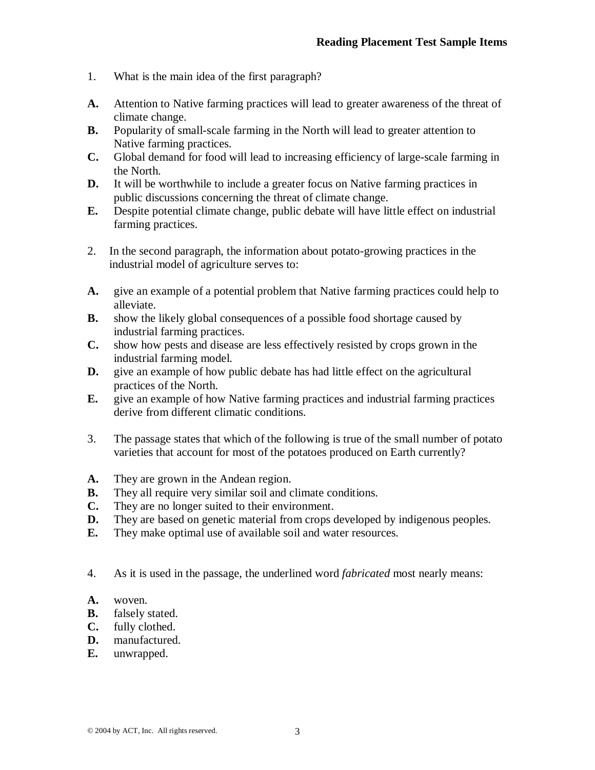- 1. What is the main idea of the first paragraph?
- **A.** Attention to Native farming practices will lead to greater awareness of the threat of climate change.
- **B.** Popularity of small-scale farming in the North will lead to greater attention to Native farming practices.
- **C.** Global demand for food will lead to increasing efficiency of large-scale farming in the North.
- **D.** It will be worthwhile to include a greater focus on Native farming practices in public discussions concerning the threat of climate change.
- **E.** Despite potential climate change, public debate will have little effect on industrial farming practices.
- 2. In the second paragraph, the information about potato-growing practices in the industrial model of agriculture serves to:
- **A.** give an example of a potential problem that Native farming practices could help to alleviate.
- **B.** show the likely global consequences of a possible food shortage caused by industrial farming practices.
- **C.** show how pests and disease are less effectively resisted by crops grown in the industrial farming model.
- **D.** give an example of how public debate has had little effect on the agricultural practices of the North.
- **E.** give an example of how Native farming practices and industrial farming practices derive from different climatic conditions.
- 3. The passage states that which of the following is true of the small number of potato varieties that account for most of the potatoes produced on Earth currently?
- **A.** They are grown in the Andean region.
- **B.** They all require very similar soil and climate conditions.
- **C.** They are no longer suited to their environment.
- **D.** They are based on genetic material from crops developed by indigenous peoples.
- **E.** They make optimal use of available soil and water resources.
- 4. As it is used in the passage, the underlined word *fabricated* most nearly means:
- **A.** woven.
- **B.** falsely stated.
- **C.** fully clothed.
- **D.** manufactured.
- **E.** unwrapped.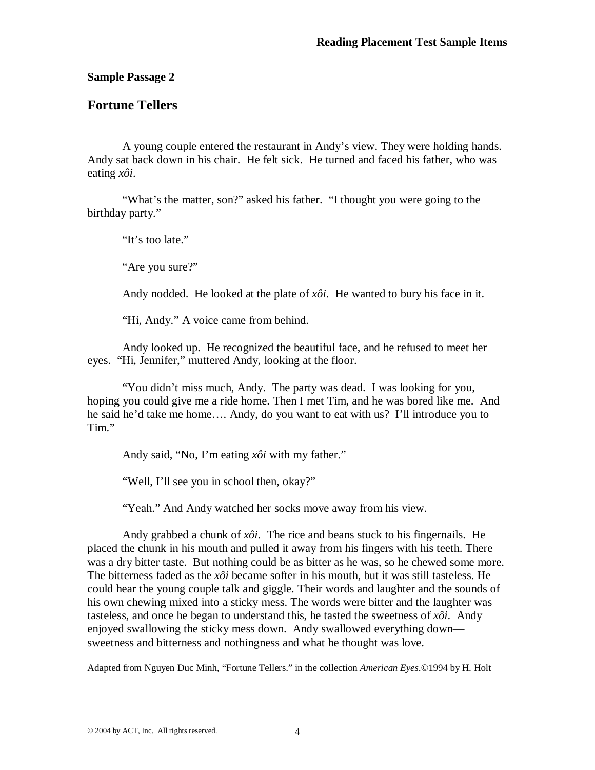**Sample Passage 2**

### **Fortune Tellers**

A young couple entered the restaurant in Andy's view. They were holding hands. Andy sat back down in his chair. He felt sick. He turned and faced his father, who was eating *xôi*.

"What's the matter, son?" asked his father. "I thought you were going to the birthday party."

"It's too late."

"Are you sure?"

Andy nodded. He looked at the plate of *xôi*. He wanted to bury his face in it.

"Hi, Andy." A voice came from behind.

Andy looked up. He recognized the beautiful face, and he refused to meet her eyes. "Hi, Jennifer," muttered Andy, looking at the floor.

"You didn't miss much, Andy. The party was dead. I was looking for you, hoping you could give me a ride home. Then I met Tim, and he was bored like me. And he said he'd take me home…. Andy, do you want to eat with us? I'll introduce you to Tim."

Andy said, "No, I'm eating *xôi* with my father."

"Well, I'll see you in school then, okay?"

"Yeah." And Andy watched her socks move away from his view.

Andy grabbed a chunk of  $x\delta i$ . The rice and beans stuck to his fingernails. He placed the chunk in his mouth and pulled it away from his fingers with his teeth. There was a dry bitter taste. But nothing could be as bitter as he was, so he chewed some more. The bitterness faded as the *xôi* became softer in his mouth, but it was still tasteless. He could hear the young couple talk and giggle. Their words and laughter and the sounds of his own chewing mixed into a sticky mess. The words were bitter and the laughter was tasteless, and once he began to understand this, he tasted the sweetness of  $x\delta i$ . Andy enjoyed swallowing the sticky mess down. Andy swallowed everything down sweetness and bitterness and nothingness and what he thought was love.

Adapted from Nguyen Duc Minh, "Fortune Tellers." in the collection *American Eyes*.©1994 by H. Holt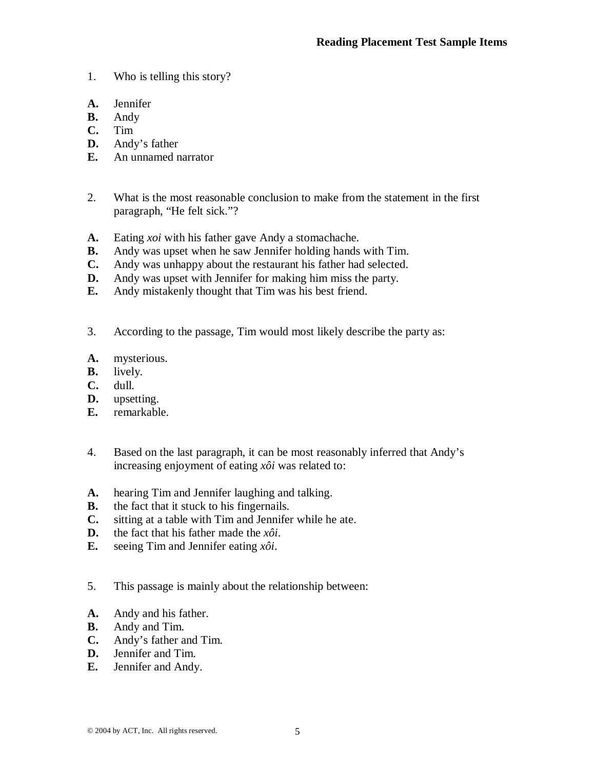- 1. Who is telling this story?
- **A.** Jennifer
- **B.** Andy
- **C.** Tim
- **D.** Andy's father
- **E.** An unnamed narrator
- 2. What is the most reasonable conclusion to make from the statement in the first paragraph, "He felt sick."?
- **A.** Eating *xoi* with his father gave Andy a stomachache.
- **B.** Andy was upset when he saw Jennifer holding hands with Tim.
- **C.** Andy was unhappy about the restaurant his father had selected.
- **D.** Andy was upset with Jennifer for making him miss the party.
- **E.** Andy mistakenly thought that Tim was his best friend.
- 3. According to the passage, Tim would most likely describe the party as:
- **A.** mysterious.
- **B.** lively.
- **C.** dull.
- **D.** upsetting.
- **E.** remarkable.
- 4. Based on the last paragraph, it can be most reasonably inferred that Andy's increasing enjoyment of eating *xôi* was related to:
- **A.** hearing Tim and Jennifer laughing and talking.
- **B.** the fact that it stuck to his fingernails.
- **C.** sitting at a table with Tim and Jennifer while he ate.
- **D.** the fact that his father made the *xôi*.
- **E.** seeing Tim and Jennifer eating *xôi*.
- 5. This passage is mainly about the relationship between:
- **A.** Andy and his father.
- **B.** Andy and Tim.
- **C.** Andy's father and Tim.
- **D.** Jennifer and Tim.
- **E.** Jennifer and Andy.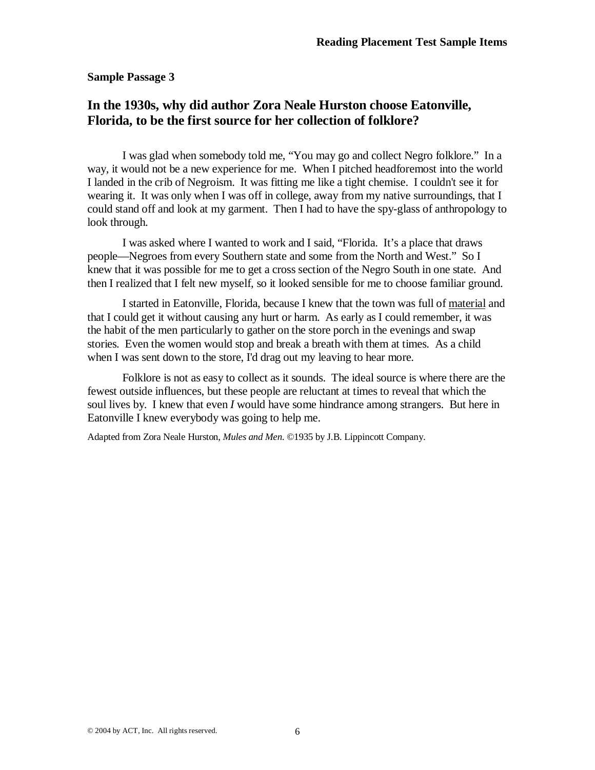#### **Sample Passage 3**

## **In the 1930s, why did author Zora Neale Hurston choose Eatonville, Florida, to be the first source for her collection of folklore?**

I was glad when somebody told me, "You may go and collect Negro folklore." In a way, it would not be a new experience for me. When I pitched headforemost into the world I landed in the crib of Negroism. It was fitting me like a tight chemise. I couldn't see it for wearing it. It was only when I was off in college, away from my native surroundings, that I could stand off and look at my garment. Then I had to have the spy-glass of anthropology to look through.

I was asked where I wanted to work and I said, "Florida. It's a place that draws people—Negroes from every Southern state and some from the North and West." So I knew that it was possible for me to get a cross section of the Negro South in one state. And then I realized that I felt new myself, so it looked sensible for me to choose familiar ground.

I started in Eatonville, Florida, because I knew that the town was full of material and that I could get it without causing any hurt or harm. As early as I could remember, it was the habit of the men particularly to gather on the store porch in the evenings and swap stories. Even the women would stop and break a breath with them at times. As a child when I was sent down to the store, I'd drag out my leaving to hear more.

Folklore is not as easy to collect as it sounds. The ideal source is where there are the fewest outside influences, but these people are reluctant at times to reveal that which the soul lives by. I knew that even *I* would have some hindrance among strangers. But here in Eatonville I knew everybody was going to help me.

Adapted from Zora Neale Hurston, *Mules and Men*. ©1935 by J.B. Lippincott Company.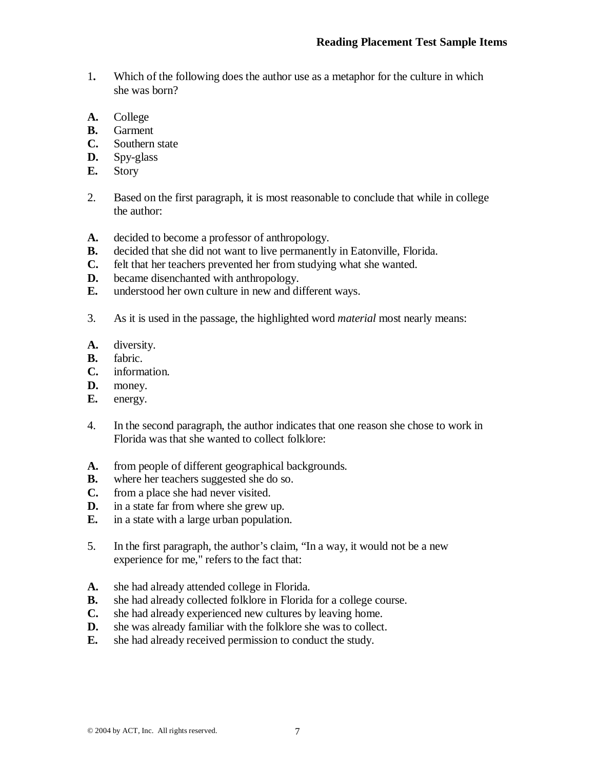- 1**.** Which of the following does the author use as a metaphor for the culture in which she was born?
- **A.** College
- **B.** Garment
- **C.** Southern state
- **D.** Spy-glass
- **E.** Story
- 2. Based on the first paragraph, it is most reasonable to conclude that while in college the author:
- **A.** decided to become a professor of anthropology.
- **B.** decided that she did not want to live permanently in Eatonville, Florida.
- **C.** felt that her teachers prevented her from studying what she wanted.
- **D.** became disenchanted with anthropology.
- **E.** understood her own culture in new and different ways.
- 3. As it is used in the passage, the highlighted word *material* most nearly means:
- **A.** diversity.
- **B.** fabric.
- **C.** information.
- **D.** money.
- **E.** energy.
- 4. In the second paragraph, the author indicates that one reason she chose to work in Florida was that she wanted to collect folklore:
- **A.** from people of different geographical backgrounds.
- **B.** where her teachers suggested she do so.
- **C.** from a place she had never visited.
- **D.** in a state far from where she grew up.
- **E.** in a state with a large urban population.
- 5. In the first paragraph, the author's claim, "In a way, it would not be a new experience for me," refers to the fact that:
- **A.** she had already attended college in Florida.
- **B.** she had already collected folklore in Florida for a college course.
- **C.** she had already experienced new cultures by leaving home.
- **D.** she was already familiar with the folklore she was to collect.
- **E.** she had already received permission to conduct the study.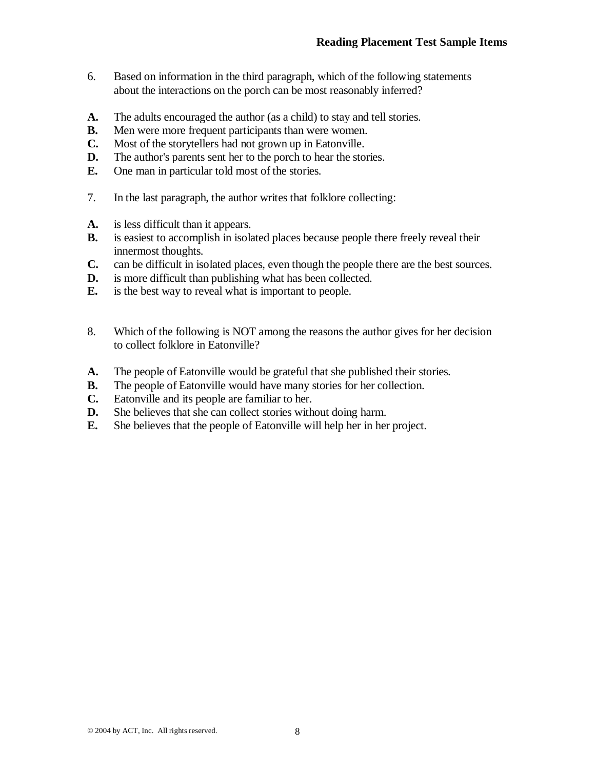- 6. Based on information in the third paragraph, which of the following statements about the interactions on the porch can be most reasonably inferred?
- **A.** The adults encouraged the author (as a child) to stay and tell stories.
- **B.** Men were more frequent participants than were women.
- **C.** Most of the storytellers had not grown up in Eatonville.
- **D.** The author's parents sent her to the porch to hear the stories.
- **E.** One man in particular told most of the stories.
- 7. In the last paragraph, the author writes that folklore collecting:
- **A.** is less difficult than it appears.
- **B.** is easiest to accomplish in isolated places because people there freely reveal their innermost thoughts.
- **C.** can be difficult in isolated places, even though the people there are the best sources.
- **D.** is more difficult than publishing what has been collected.
- **E.** is the best way to reveal what is important to people.
- 8. Which of the following is NOT among the reasons the author gives for her decision to collect folklore in Eatonville?
- **A.** The people of Eatonville would be grateful that she published their stories.
- **B.** The people of Eatonville would have many stories for her collection.
- **C.** Eatonville and its people are familiar to her.
- **D.** She believes that she can collect stories without doing harm.
- **E.** She believes that the people of Eatonville will help her in her project.